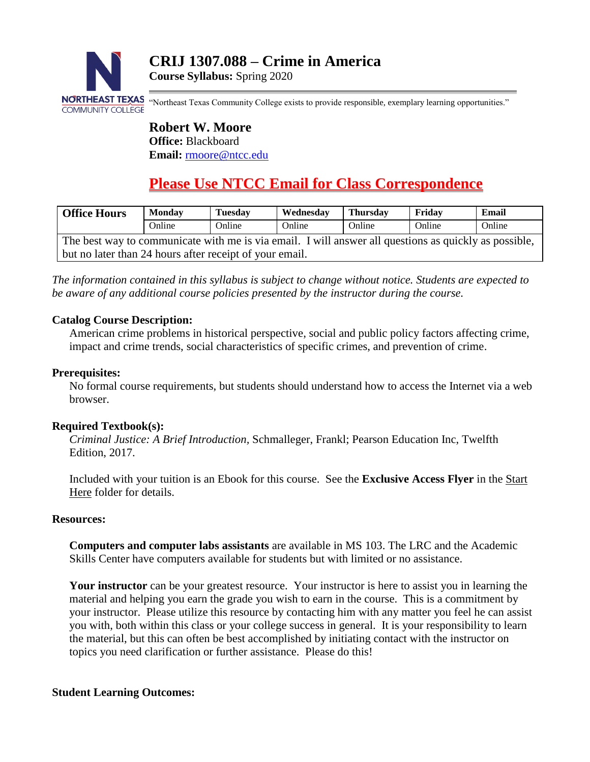

**Course Syllabus:** Spring 2020

NORTHEAST TEXAS "Northeast Texas Community College exists to provide responsible, exemplary learning opportunities."

**Robert W. Moore Office:** Blackboard **Email:** [rmoore@ntcc.edu](mailto:rmoore@ntcc.edu)

# **Please Use NTCC Email for Class Correspondence**

| <b>Office Hours</b>                                                                                   | <b>Monday</b> | <b>Tuesday</b> | Wednesday | <b>Thursday</b> | Fridav | Email  |  |
|-------------------------------------------------------------------------------------------------------|---------------|----------------|-----------|-----------------|--------|--------|--|
|                                                                                                       | Online        | Online         | Online    | Online          | Online | Online |  |
| The best way to communicate with me is via email. I will answer all questions as quickly as possible, |               |                |           |                 |        |        |  |
| but no later than 24 hours after receipt of your email.                                               |               |                |           |                 |        |        |  |

*The information contained in this syllabus is subject to change without notice. Students are expected to be aware of any additional course policies presented by the instructor during the course.*

## **Catalog Course Description:**

American crime problems in historical perspective, social and public policy factors affecting crime, impact and crime trends, social characteristics of specific crimes, and prevention of crime.

#### **Prerequisites:**

No formal course requirements, but students should understand how to access the Internet via a web browser.

## **Required Textbook(s):**

*Criminal Justice: A Brief Introduction,* Schmalleger, Frankl; Pearson Education Inc, Twelfth Edition, 2017.

Included with your tuition is an Ebook for this course. See the **Exclusive Access Flyer** in the Start Here folder for details.

#### **Resources:**

**Computers and computer labs assistants** are available in MS 103. The LRC and the Academic Skills Center have computers available for students but with limited or no assistance.

**Your instructor** can be your greatest resource. Your instructor is here to assist you in learning the material and helping you earn the grade you wish to earn in the course. This is a commitment by your instructor. Please utilize this resource by contacting him with any matter you feel he can assist you with, both within this class or your college success in general. It is your responsibility to learn the material, but this can often be best accomplished by initiating contact with the instructor on topics you need clarification or further assistance. Please do this!

## **Student Learning Outcomes:**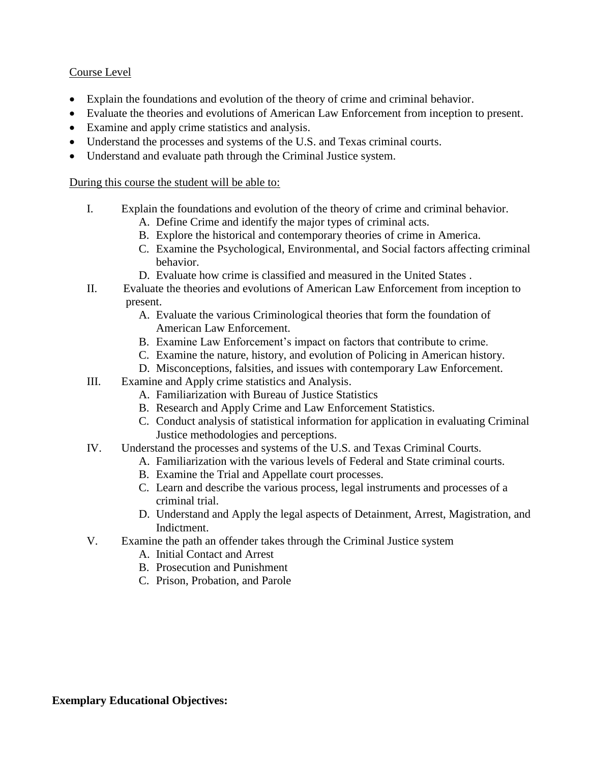#### Course Level

- Explain the foundations and evolution of the theory of crime and criminal behavior.
- Evaluate the theories and evolutions of American Law Enforcement from inception to present.
- Examine and apply crime statistics and analysis.
- Understand the processes and systems of the U.S. and Texas criminal courts.
- Understand and evaluate path through the Criminal Justice system.

#### During this course the student will be able to:

- I. Explain the foundations and evolution of the theory of crime and criminal behavior.
	- A. Define Crime and identify the major types of criminal acts.
	- B. Explore the historical and contemporary theories of crime in America.
	- C. Examine the Psychological, Environmental, and Social factors affecting criminal behavior.
	- D. Evaluate how crime is classified and measured in the United States .
- II. Evaluate the theories and evolutions of American Law Enforcement from inception to present.
	- A. Evaluate the various Criminological theories that form the foundation of American Law Enforcement.
	- B. Examine Law Enforcement's impact on factors that contribute to crime.
	- C. Examine the nature, history, and evolution of Policing in American history.
	- D. Misconceptions, falsities, and issues with contemporary Law Enforcement.
- III. Examine and Apply crime statistics and Analysis.
	- A. Familiarization with Bureau of Justice Statistics
	- B. Research and Apply Crime and Law Enforcement Statistics.
	- C. Conduct analysis of statistical information for application in evaluating Criminal Justice methodologies and perceptions.
- IV. Understand the processes and systems of the U.S. and Texas Criminal Courts.
	- A. Familiarization with the various levels of Federal and State criminal courts.
	- B. Examine the Trial and Appellate court processes.
	- C. Learn and describe the various process, legal instruments and processes of a criminal trial.
	- D. Understand and Apply the legal aspects of Detainment, Arrest, Magistration, and Indictment.
- V. Examine the path an offender takes through the Criminal Justice system
	- A. Initial Contact and Arrest
	- B. Prosecution and Punishment
	- C. Prison, Probation, and Parole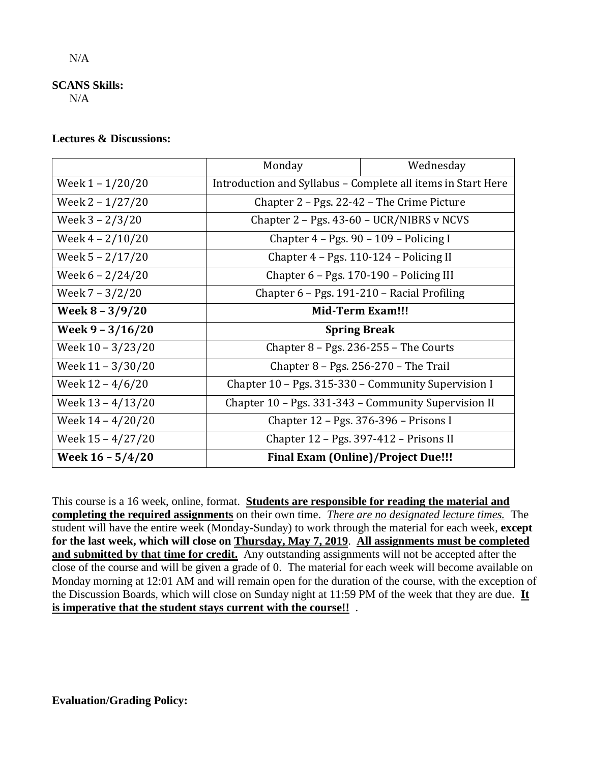#### **SCANS Skills:**

N/A

#### **Lectures & Discussions:**

|                            | Monday                                                       | Wednesday |  |
|----------------------------|--------------------------------------------------------------|-----------|--|
| Week 1 – 1/20/20           | Introduction and Syllabus - Complete all items in Start Here |           |  |
| Week 2 - 1/27/20           | Chapter 2 – Pgs. 22-42 – The Crime Picture                   |           |  |
| Week $3 - \frac{2}{3}$ /20 | Chapter $2 - Pgs. 43-60 - UCR/NIBRS$ v NCVS                  |           |  |
| Week $4 - 2/10/20$         | Chapter 4 - Pgs. 90 - 109 - Policing I                       |           |  |
| Week 5 - 2/17/20           | Chapter 4 - Pgs. 110-124 - Policing II                       |           |  |
| Week $6 - 2/24/20$         | Chapter 6 - Pgs. 170-190 - Policing III                      |           |  |
| Week 7 – 3/2/20            | Chapter 6 - Pgs. 191-210 - Racial Profiling                  |           |  |
| Week $8 - 3/9/20$          | <b>Mid-Term Exam!!!</b>                                      |           |  |
| Week $9 - 3/16/20$         | <b>Spring Break</b>                                          |           |  |
| Week 10 – 3/23/20          | Chapter $8 - Pgs. 236-255 - The Courts$                      |           |  |
| Week 11 - 3/30/20          | Chapter $8 - Pgs. 256-270$ – The Trail                       |           |  |
| Week $12 - 4/6/20$         | Chapter 10 - Pgs. 315-330 - Community Supervision I          |           |  |
| Week $13 - 4/13/20$        | Chapter 10 - Pgs. 331-343 - Community Supervision II         |           |  |
| Week 14 - 4/20/20          | Chapter 12 – Pgs. 376-396 – Prisons I                        |           |  |
| Week 15 - 4/27/20          | Chapter 12 – Pgs. 397-412 – Prisons II                       |           |  |
|                            | <b>Final Exam (Online)/Project Due!!!</b>                    |           |  |

This course is a 16 week, online, format. **Students are responsible for reading the material and completing the required assignments** on their own time. *There are no designated lecture times.*The student will have the entire week (Monday-Sunday) to work through the material for each week, **except for the last week, which will close on Thursday, May 7, 2019**. **All assignments must be completed and submitted by that time for credit.** Any outstanding assignments will not be accepted after the close of the course and will be given a grade of 0. The material for each week will become available on Monday morning at 12:01 AM and will remain open for the duration of the course, with the exception of the Discussion Boards, which will close on Sunday night at 11:59 PM of the week that they are due. **It is imperative that the student stays current with the course!!** .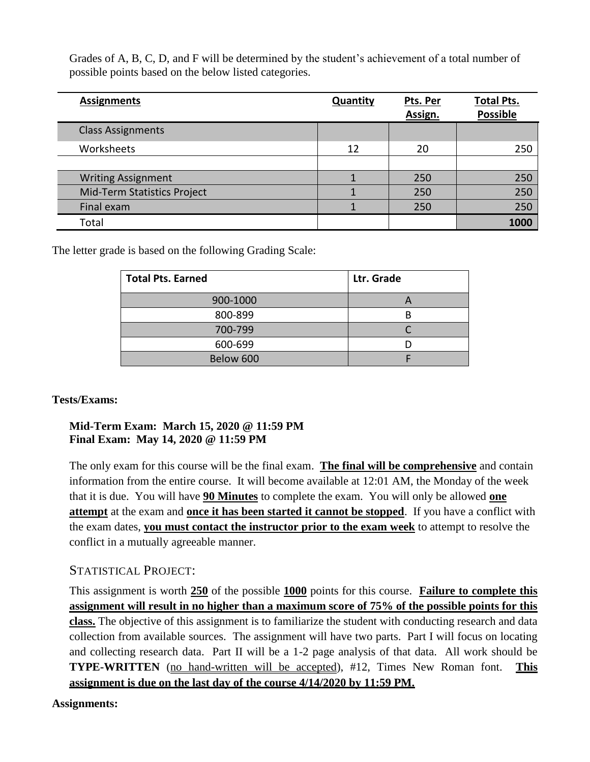Grades of A, B, C, D, and F will be determined by the student's achievement of a total number of possible points based on the below listed categories.

| <b>Assignments</b>          | <b>Quantity</b> | Pts. Per | <b>Total Pts.</b><br><b>Possible</b> |
|-----------------------------|-----------------|----------|--------------------------------------|
|                             |                 | Assign.  |                                      |
| <b>Class Assignments</b>    |                 |          |                                      |
| Worksheets                  | 12              | 20       | 250                                  |
|                             |                 |          |                                      |
| <b>Writing Assignment</b>   |                 | 250      | 250                                  |
| Mid-Term Statistics Project |                 | 250      | 250                                  |
| Final exam                  |                 | 250      | 250                                  |
| Total                       |                 |          | 1000                                 |

The letter grade is based on the following Grading Scale:

| <b>Total Pts. Earned</b> | Ltr. Grade |
|--------------------------|------------|
| 900-1000                 |            |
| 800-899                  |            |
| 700-799                  |            |
| 600-699                  |            |
| Below 600                |            |

## **Tests/Exams:**

## **Mid-Term Exam: March 15, 2020 @ 11:59 PM Final Exam: May 14, 2020 @ 11:59 PM**

The only exam for this course will be the final exam. **The final will be comprehensive** and contain information from the entire course. It will become available at 12:01 AM, the Monday of the week that it is due. You will have **90 Minutes** to complete the exam. You will only be allowed **one attempt** at the exam and **once it has been started it cannot be stopped**. If you have a conflict with the exam dates, **you must contact the instructor prior to the exam week** to attempt to resolve the conflict in a mutually agreeable manner.

# STATISTICAL PROJECT:

This assignment is worth **250** of the possible **1000** points for this course. **Failure to complete this assignment will result in no higher than a maximum score of 75% of the possible points for this class.** The objective of this assignment is to familiarize the student with conducting research and data collection from available sources. The assignment will have two parts. Part I will focus on locating and collecting research data. Part II will be a 1-2 page analysis of that data. All work should be **TYPE-WRITTEN** (no hand-written will be accepted), #12, Times New Roman font. **This assignment is due on the last day of the course 4/14/2020 by 11:59 PM.**

## **Assignments:**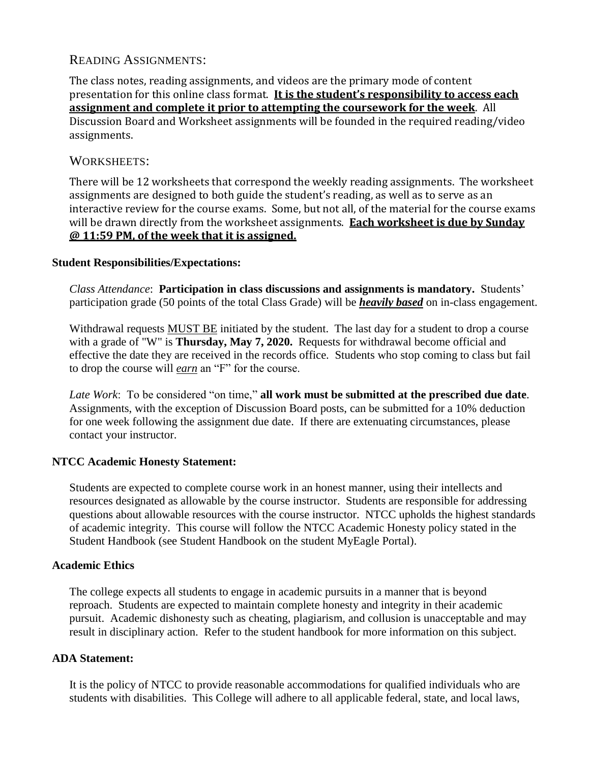# READING ASSIGNMENTS:

The class notes, reading assignments, and videos are the primary mode of content presentation for this online class format. **It is the student's responsibility to access each assignment and complete it prior to attempting the coursework for the week**. All Discussion Board and Worksheet assignments will be founded in the required reading/video assignments.

## WORKSHEETS:

There will be 12 worksheets that correspond the weekly reading assignments. The worksheet assignments are designed to both guide the student's reading, as well as to serve as an interactive review for the course exams. Some, but not all, of the material for the course exams will be drawn directly from the worksheet assignments. **Each worksheet is due by Sunday @ 11:59 PM, of the week that it is assigned.**

#### **Student Responsibilities/Expectations:**

*Class Attendance*: **Participation in class discussions and assignments is mandatory.** Students' participation grade (50 points of the total Class Grade) will be *heavily based* on in-class engagement.

Withdrawal requests MUST BE initiated by the student. The last day for a student to drop a course with a grade of "W" is **Thursday, May 7, 2020.** Requests for withdrawal become official and effective the date they are received in the records office. Students who stop coming to class but fail to drop the course will *earn* an "F" for the course.

*Late Work*: To be considered "on time," **all work must be submitted at the prescribed due date**. Assignments, with the exception of Discussion Board posts, can be submitted for a 10% deduction for one week following the assignment due date. If there are extenuating circumstances, please contact your instructor.

## **NTCC Academic Honesty Statement:**

Students are expected to complete course work in an honest manner, using their intellects and resources designated as allowable by the course instructor. Students are responsible for addressing questions about allowable resources with the course instructor. NTCC upholds the highest standards of academic integrity. This course will follow the NTCC Academic Honesty policy stated in the Student Handbook (see Student Handbook on the student MyEagle Portal).

#### **Academic Ethics**

The college expects all students to engage in academic pursuits in a manner that is beyond reproach. Students are expected to maintain complete honesty and integrity in their academic pursuit. Academic dishonesty such as cheating, plagiarism, and collusion is unacceptable and may result in disciplinary action. Refer to the student handbook for more information on this subject.

#### **ADA Statement:**

It is the policy of NTCC to provide reasonable accommodations for qualified individuals who are students with disabilities. This College will adhere to all applicable federal, state, and local laws,